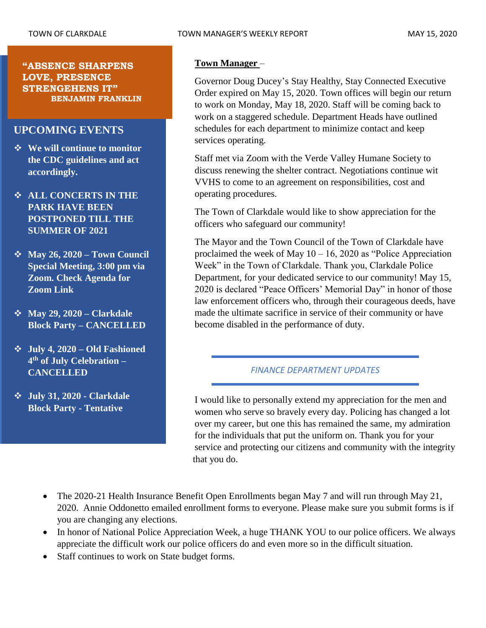#### **"ABSENCE SHARPENS LOVE, PRESENCE STRENGEHENS IT" BENJAMIN FRANKLIN**

## **UPCOMING EVENTS**

- ❖ **We will continue to monitor the CDC guidelines and act accordingly.**
- ❖ **ALL CONCERTS IN THE PARK HAVE BEEN POSTPONED TILL THE SUMMER OF 2021**
- ❖ **May 26, 2020 – Town Council Special Meeting, 3:00 pm via Zoom. Check Agenda for Zoom Link**
- ❖ **May 29, 2020 – Clarkdale Block Party – CANCELLED**
- ❖ **July 4, 2020 – Old Fashioned 4 th of July Celebration – CANCELLED**
- ❖ **July 31, 2020 - Clarkdale Block Party - Tentative**

#### **Town Manager** –

Governor Doug Ducey's Stay Healthy, Stay Connected Executive Order expired on May 15, 2020. Town offices will begin our return to work on Monday, May 18, 2020. Staff will be coming back to work on a staggered schedule. Department Heads have outlined schedules for each department to minimize contact and keep services operating.

Staff met via Zoom with the Verde Valley Humane Society to discuss renewing the shelter contract. Negotiations continue wit VVHS to come to an agreement on responsibilities, cost and operating procedures.

The Town of Clarkdale would like to show appreciation for the officers who safeguard our community!

The Mayor and the Town Council of the Town of Clarkdale have proclaimed the week of May  $10 - 16$ , 2020 as "Police Appreciation" Week" in the Town of Clarkdale. Thank you, Clarkdale Police Department, for your dedicated service to our community! May 15, 2020 is declared "Peace Officers' Memorial Day" in honor of those law enforcement officers who, through their courageous deeds, have made the ultimate sacrifice in service of their community or have become disabled in the performance of duty.

#### *FINANCE DEPARTMENT UPDATES*

I would like to personally extend my appreciation for the men and women who serve so bravely every day. Policing has changed a lot over my career, but one this has remained the same, my admiration for the individuals that put the uniform on. Thank you for your service and protecting our citizens and community with the integrity that you do.

- The 2020-21 Health Insurance Benefit Open Enrollments began May 7 and will run through May 21, 2020. Annie Oddonetto emailed enrollment forms to everyone. Please make sure you submit forms is if you are changing any elections.
- In honor of National Police Appreciation Week, a huge THANK YOU to our police officers. We always appreciate the difficult work our police officers do and even more so in the difficult situation.
- Staff continues to work on State budget forms.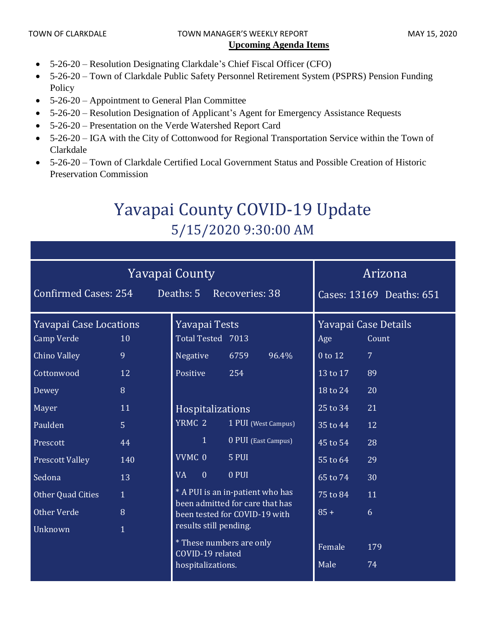## TOWN OF CLARKDALE TOWN MANAGER'S WEEKLY REPORT TOWN OF CLARKDALE **Upcoming Agenda Items**

- 5-26-20 Resolution Designating Clarkdale's Chief Fiscal Officer (CFO)
- 5-26-20 Town of Clarkdale Public Safety Personnel Retirement System (PSPRS) Pension Funding Policy
- 5-26-20 Appointment to General Plan Committee
- 5-26-20 Resolution Designation of Applicant's Agent for Emergency Assistance Requests
- 5-26-20 Presentation on the Verde Watershed Report Card
- 5-26-20 IGA with the City of Cottonwood for Regional Transportation Service within the Town of Clarkdale
- 5-26-20 Town of Clarkdale Certified Local Government Status and Possible Creation of Historic Preservation Commission

# Yavapai County COVID-19 Update 5/15/2020 9:30:00 AM

| <b>Yavapai County</b><br><b>Confirmed Cases: 254</b><br>Deaths: 5<br>Recoveries: 38                                                                                  |                                                               |                                                                                                                                                                                                     |                                                                             |       | Arizona<br>Cases: 13169 Deaths: 651                                                                |                                                                                           |
|----------------------------------------------------------------------------------------------------------------------------------------------------------------------|---------------------------------------------------------------|-----------------------------------------------------------------------------------------------------------------------------------------------------------------------------------------------------|-----------------------------------------------------------------------------|-------|----------------------------------------------------------------------------------------------------|-------------------------------------------------------------------------------------------|
| <b>Yavapai Case Locations</b><br><b>Camp Verde</b><br><b>Chino Valley</b><br>Cottonwood<br>Dewey<br>Mayer<br>Paulden<br>Prescott<br><b>Prescott Valley</b><br>Sedona | 10<br>9<br>12<br>8<br>11<br>$\overline{5}$<br>44<br>140<br>13 | Yavapai Tests<br>Total Tested 7013<br>Negative<br>Positive<br>Hospitalizations<br>YRMC <sub>2</sub><br>$\mathbf{1}$<br>VVMC 0<br><b>VA</b><br>$\overline{0}$                                        | 6759<br>254<br>1 PUI (West Campus)<br>0 PUI (East Campus)<br>5 PUI<br>0 PUI | 96.4% | Age<br>0 to 12<br>13 to 17<br>18 to 24<br>25 to 34<br>35 to 44<br>45 to 54<br>55 to 64<br>65 to 74 | Yavapai Case Details<br>Count<br>$\overline{7}$<br>89<br>20<br>21<br>12<br>28<br>29<br>30 |
| Other Quad Cities<br>Other Verde<br>Unknown                                                                                                                          | $\mathbf{1}$<br>8<br>$\mathbf{1}$                             | * A PUI is an in-patient who has<br>been admitted for care that has<br>been tested for COVID-19 with<br>results still pending.<br>* These numbers are only<br>COVID-19 related<br>hospitalizations. |                                                                             |       | 75 to 84<br>$85 +$<br>Female<br>Male                                                               | 11<br>6<br>179<br>74                                                                      |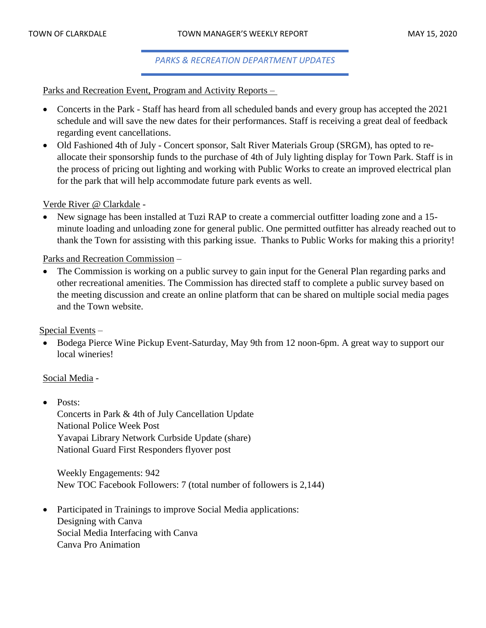*PARKS & RECREATION DEPARTMENT UPDATES*

Parks and Recreation Event, Program and Activity Reports –

- Concerts in the Park Staff has heard from all scheduled bands and every group has accepted the 2021 schedule and will save the new dates for their performances. Staff is receiving a great deal of feedback regarding event cancellations.
- Old Fashioned 4th of July Concert sponsor, Salt River Materials Group (SRGM), has opted to reallocate their sponsorship funds to the purchase of 4th of July lighting display for Town Park. Staff is in the process of pricing out lighting and working with Public Works to create an improved electrical plan for the park that will help accommodate future park events as well.

Verde River @ Clarkdale -

• New signage has been installed at Tuzi RAP to create a commercial outfitter loading zone and a 15minute loading and unloading zone for general public. One permitted outfitter has already reached out to thank the Town for assisting with this parking issue. Thanks to Public Works for making this a priority!

Parks and Recreation Commission –

• The Commission is working on a public survey to gain input for the General Plan regarding parks and other recreational amenities. The Commission has directed staff to complete a public survey based on the meeting discussion and create an online platform that can be shared on multiple social media pages and the Town website.

Special Events –

• Bodega Pierce Wine Pickup Event-Saturday, May 9th from 12 noon-6pm. A great way to support our local wineries!

#### Social Media -

• Posts: Concerts in Park & 4th of July Cancellation Update National Police Week Post Yavapai Library Network Curbside Update (share) National Guard First Responders flyover post

Weekly Engagements: 942 New TOC Facebook Followers: 7 (total number of followers is 2,144)

• Participated in Trainings to improve Social Media applications: Designing with Canva Social Media Interfacing with Canva Canva Pro Animation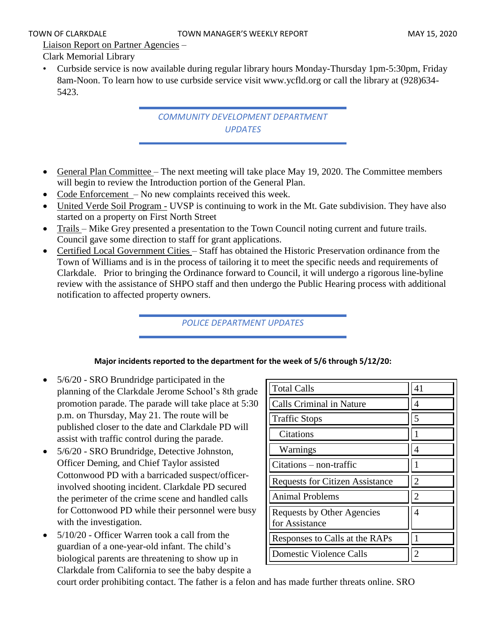Liaison Report on Partner Agencies –

Clark Memorial Library

• Curbside service is now available during regular library hours Monday-Thursday 1pm-5:30pm, Friday 8am-Noon. To learn how to use curbside service visit www.ycfld.org or call the library at (928)634- 5423.

> *COMMUNITY DEVELOPMENT DEPARTMENT UPDATES*

- General Plan Committee The next meeting will take place May 19, 2020. The Committee members will begin to review the Introduction portion of the General Plan.
- Code Enforcement No new complaints received this week.
- United Verde Soil Program UVSP is continuing to work in the Mt. Gate subdivision. They have also started on a property on First North Street
- Trails Mike Grey presented a presentation to the Town Council noting current and future trails. Council gave some direction to staff for grant applications.
- Certified Local Government Cities Staff has obtained the Historic Preservation ordinance from the Town of Williams and is in the process of tailoring it to meet the specific needs and requirements of Clarkdale. Prior to bringing the Ordinance forward to Council, it will undergo a rigorous line-byline review with the assistance of SHPO staff and then undergo the Public Hearing process with additional notification to affected property owners.

*POLICE DEPARTMENT UPDATES*

#### **Major incidents reported to the department for the week of 5/6 through 5/12/20:**

- 5/6/20 SRO Brundridge participated in the planning of the Clarkdale Jerome School's 8th grade promotion parade. The parade will take place at 5:30 p.m. on Thursday, May 21. The route will be published closer to the date and Clarkdale PD will assist with traffic control during the parade.
- 5/6/20 SRO Brundridge, Detective Johnston, Officer Deming, and Chief Taylor assisted Cottonwood PD with a barricaded suspect/officerinvolved shooting incident. Clarkdale PD secured the perimeter of the crime scene and handled calls for Cottonwood PD while their personnel were busy with the investigation.
- 5/10/20 Officer Warren took a call from the guardian of a one-year-old infant. The child's biological parents are threatening to show up in Clarkdale from California to see the baby despite a

| <b>Total Calls</b>                           | 41                          |
|----------------------------------------------|-----------------------------|
| <b>Calls Criminal in Nature</b>              |                             |
| <b>Traffic Stops</b>                         | 5                           |
| Citations                                    |                             |
| Warnings                                     | 4                           |
| $Citations - non-traffic$                    |                             |
|                                              |                             |
| <b>Requests for Citizen Assistance</b>       | $\mathcal{D}_{\mathcal{L}}$ |
| Animal Problems                              | 2                           |
| Requests by Other Agencies<br>for Assistance | 4                           |
| Responses to Calls at the RAPs               |                             |

court order prohibiting contact. The father is a felon and has made further threats online. SRO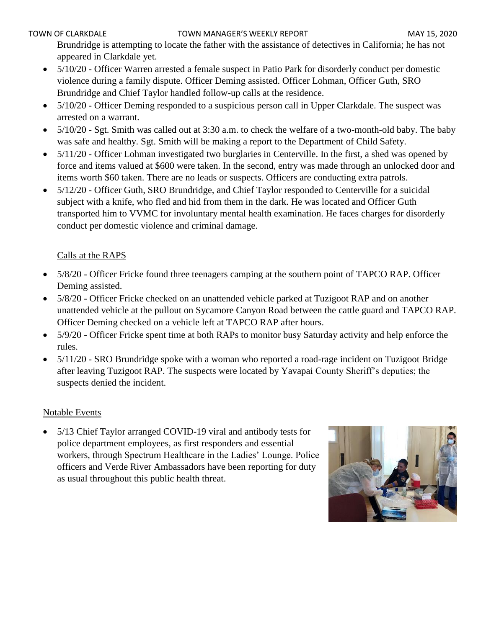Brundridge is attempting to locate the father with the assistance of detectives in California; he has not appeared in Clarkdale yet.

- 5/10/20 Officer Warren arrested a female suspect in Patio Park for disorderly conduct per domestic violence during a family dispute. Officer Deming assisted. Officer Lohman, Officer Guth, SRO Brundridge and Chief Taylor handled follow-up calls at the residence.
- 5/10/20 Officer Deming responded to a suspicious person call in Upper Clarkdale. The suspect was arrested on a warrant.
- 5/10/20 Sgt. Smith was called out at 3:30 a.m. to check the welfare of a two-month-old baby. The baby was safe and healthy. Sgt. Smith will be making a report to the Department of Child Safety.
- 5/11/20 Officer Lohman investigated two burglaries in Centerville. In the first, a shed was opened by force and items valued at \$600 were taken. In the second, entry was made through an unlocked door and items worth \$60 taken. There are no leads or suspects. Officers are conducting extra patrols.
- 5/12/20 Officer Guth, SRO Brundridge, and Chief Taylor responded to Centerville for a suicidal subject with a knife, who fled and hid from them in the dark. He was located and Officer Guth transported him to VVMC for involuntary mental health examination. He faces charges for disorderly conduct per domestic violence and criminal damage.

## Calls at the RAPS

- 5/8/20 Officer Fricke found three teenagers camping at the southern point of TAPCO RAP. Officer Deming assisted.
- 5/8/20 Officer Fricke checked on an unattended vehicle parked at Tuzigoot RAP and on another unattended vehicle at the pullout on Sycamore Canyon Road between the cattle guard and TAPCO RAP. Officer Deming checked on a vehicle left at TAPCO RAP after hours.
- 5/9/20 Officer Fricke spent time at both RAPs to monitor busy Saturday activity and help enforce the rules.
- 5/11/20 SRO Brundridge spoke with a woman who reported a road-rage incident on Tuzigoot Bridge after leaving Tuzigoot RAP. The suspects were located by Yavapai County Sheriff's deputies; the suspects denied the incident.

## Notable Events

• 5/13 Chief Taylor arranged COVID-19 viral and antibody tests for police department employees, as first responders and essential workers, through Spectrum Healthcare in the Ladies' Lounge. Police officers and Verde River Ambassadors have been reporting for duty as usual throughout this public health threat.